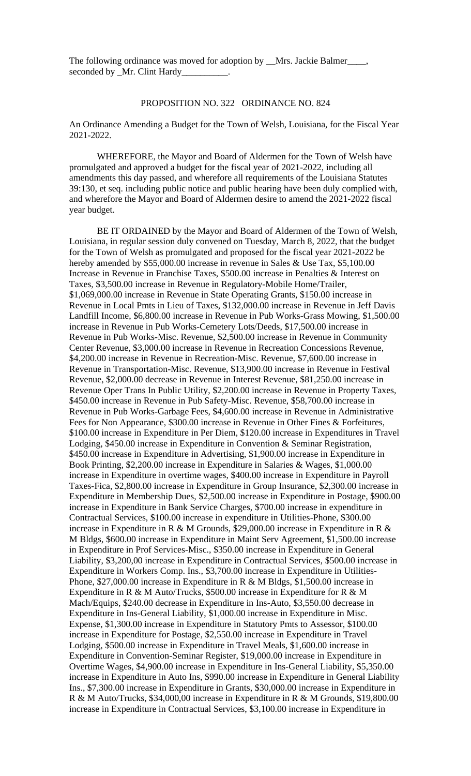The following ordinance was moved for adoption by \_\_Mrs. Jackie Balmer\_\_\_ seconded by \_Mr. Clint Hardy

## PROPOSITION NO. 322 ORDINANCE NO. 824

An Ordinance Amending a Budget for the Town of Welsh, Louisiana, for the Fiscal Year 2021-2022.

WHEREFORE, the Mayor and Board of Aldermen for the Town of Welsh have promulgated and approved a budget for the fiscal year of 2021-2022, including all amendments this day passed, and wherefore all requirements of the Louisiana Statutes 39:130, et seq. including public notice and public hearing have been duly complied with, and wherefore the Mayor and Board of Aldermen desire to amend the 2021-2022 fiscal year budget.

BE IT ORDAINED by the Mayor and Board of Aldermen of the Town of Welsh, Louisiana, in regular session duly convened on Tuesday, March 8, 2022, that the budget for the Town of Welsh as promulgated and proposed for the fiscal year 2021-2022 be hereby amended by \$55,000.00 increase in revenue in Sales & Use Tax, \$5,100.00 Increase in Revenue in Franchise Taxes, \$500.00 increase in Penalties & Interest on Taxes, \$3,500.00 increase in Revenue in Regulatory-Mobile Home/Trailer, \$1,069,000.00 increase in Revenue in State Operating Grants, \$150.00 increase in Revenue in Local Pmts in Lieu of Taxes, \$132,000.00 increase in Revenue in Jeff Davis Landfill Income, \$6,800.00 increase in Revenue in Pub Works-Grass Mowing, \$1,500.00 increase in Revenue in Pub Works-Cemetery Lots/Deeds, \$17,500.00 increase in Revenue in Pub Works-Misc. Revenue, \$2,500.00 increase in Revenue in Community Center Revenue, \$3,000.00 increase in Revenue in Recreation Concessions Revenue, \$4,200.00 increase in Revenue in Recreation-Misc. Revenue, \$7,600.00 increase in Revenue in Transportation-Misc. Revenue, \$13,900.00 increase in Revenue in Festival Revenue, \$2,000.00 decrease in Revenue in Interest Revenue, \$81,250.00 increase in Revenue Oper Trans In Public Utility, \$2,200.00 increase in Revenue in Property Taxes, \$450.00 increase in Revenue in Pub Safety-Misc. Revenue, \$58,700.00 increase in Revenue in Pub Works-Garbage Fees, \$4,600.00 increase in Revenue in Administrative Fees for Non Appearance, \$300.00 increase in Revenue in Other Fines & Forfeitures, \$100.00 increase in Expenditure in Per Diem, \$120.00 increase in Expenditures in Travel Lodging, \$450.00 increase in Expenditure in Convention & Seminar Registration, \$450.00 increase in Expenditure in Advertising, \$1,900.00 increase in Expenditure in Book Printing, \$2,200.00 increase in Expenditure in Salaries & Wages, \$1,000.00 increase in Expenditure in overtime wages, \$400.00 increase in Expenditure in Payroll Taxes-Fica, \$2,800.00 increase in Expenditure in Group Insurance, \$2,300.00 increase in Expenditure in Membership Dues, \$2,500.00 increase in Expenditure in Postage, \$900.00 increase in Expenditure in Bank Service Charges, \$700.00 increase in expenditure in Contractual Services, \$100.00 increase in expenditure in Utilities-Phone, \$300.00 increase in Expenditure in R & M Grounds, \$29,000.00 increase in Expenditure in R & M Bldgs, \$600.00 increase in Expenditure in Maint Serv Agreement, \$1,500.00 increase in Expenditure in Prof Services-Misc., \$350.00 increase in Expenditure in General Liability, \$3,200,00 increase in Expenditure in Contractual Services, \$500.00 increase in Expenditure in Workers Comp. Ins., \$3,700.00 increase in Expenditure in Utilities-Phone, \$27,000.00 increase in Expenditure in R & M Bldgs, \$1,500.00 increase in Expenditure in R & M Auto/Trucks, \$500.00 increase in Expenditure for R  $\&$  M Mach/Equips, \$240.00 decrease in Expenditure in Ins-Auto, \$3,550.00 decrease in Expenditure in Ins-General Liability, \$1,000.00 increase in Expenditure in Misc. Expense, \$1,300.00 increase in Expenditure in Statutory Pmts to Assessor, \$100.00 increase in Expenditure for Postage, \$2,550.00 increase in Expenditure in Travel Lodging, \$500.00 increase in Expenditure in Travel Meals, \$1,600.00 increase in Expenditure in Convention-Seminar Register, \$19,000.00 increase in Expenditure in Overtime Wages, \$4,900.00 increase in Expenditure in Ins-General Liability, \$5,350.00 increase in Expenditure in Auto Ins, \$990.00 increase in Expenditure in General Liability Ins., \$7,300.00 increase in Expenditure in Grants, \$30,000.00 increase in Expenditure in R & M Auto/Trucks, \$34,000,00 increase in Expenditure in R & M Grounds, \$19,800.00 increase in Expenditure in Contractual Services, \$3,100.00 increase in Expenditure in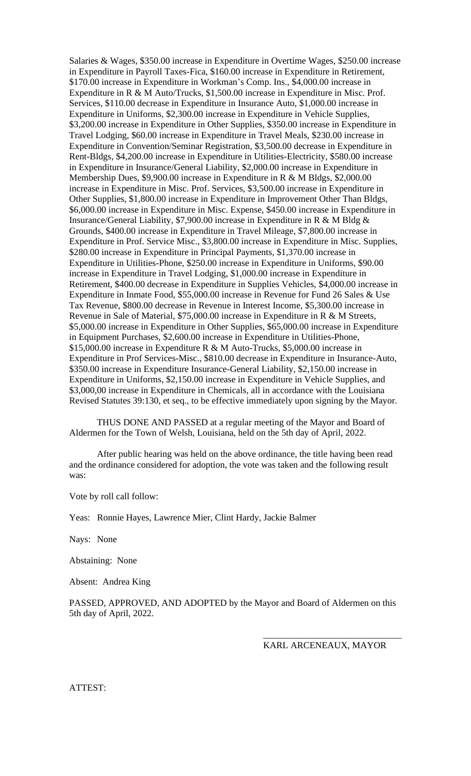Salaries & Wages, \$350.00 increase in Expenditure in Overtime Wages, \$250.00 increase in Expenditure in Payroll Taxes-Fica, \$160.00 increase in Expenditure in Retirement, \$170.00 increase in Expenditure in Workman's Comp. Ins., \$4,000.00 increase in Expenditure in R & M Auto/Trucks, \$1,500.00 increase in Expenditure in Misc. Prof. Services, \$110.00 decrease in Expenditure in Insurance Auto, \$1,000.00 increase in Expenditure in Uniforms, \$2,300.00 increase in Expenditure in Vehicle Supplies, \$3,200.00 increase in Expenditure in Other Supplies, \$350.00 increase in Expenditure in Travel Lodging, \$60.00 increase in Expenditure in Travel Meals, \$230.00 increase in Expenditure in Convention/Seminar Registration, \$3,500.00 decrease in Expenditure in Rent-Bldgs, \$4,200.00 increase in Expenditure in Utilities-Electricity, \$580.00 increase in Expenditure in Insurance/General Liability, \$2,000.00 increase in Expenditure in Membership Dues, \$9,900.00 increase in Expenditure in R & M Bldgs, \$2,000.00 increase in Expenditure in Misc. Prof. Services, \$3,500.00 increase in Expenditure in Other Supplies, \$1,800.00 increase in Expenditure in Improvement Other Than Bldgs, \$6,000.00 increase in Expenditure in Misc. Expense, \$450.00 increase in Expenditure in Insurance/General Liability, \$7,900.00 increase in Expenditure in R & M Bldg & Grounds, \$400.00 increase in Expenditure in Travel Mileage, \$7,800.00 increase in Expenditure in Prof. Service Misc., \$3,800.00 increase in Expenditure in Misc. Supplies, \$280.00 increase in Expenditure in Principal Payments, \$1,370.00 increase in Expenditure in Utilities-Phone, \$250.00 increase in Expenditure in Uniforms, \$90.00 increase in Expenditure in Travel Lodging, \$1,000.00 increase in Expenditure in Retirement, \$400.00 decrease in Expenditure in Supplies Vehicles, \$4,000.00 increase in Expenditure in Inmate Food, \$55,000.00 increase in Revenue for Fund 26 Sales & Use Tax Revenue, \$800.00 decrease in Revenue in Interest Income, \$5,300.00 increase in Revenue in Sale of Material, \$75,000.00 increase in Expenditure in R & M Streets, \$5,000.00 increase in Expenditure in Other Supplies, \$65,000.00 increase in Expenditure in Equipment Purchases, \$2,600.00 increase in Expenditure in Utilities-Phone, \$15,000.00 increase in Expenditure R & M Auto-Trucks, \$5,000.00 increase in Expenditure in Prof Services-Misc., \$810.00 decrease in Expenditure in Insurance-Auto, \$350.00 increase in Expenditure Insurance-General Liability, \$2,150.00 increase in Expenditure in Uniforms, \$2,150.00 increase in Expenditure in Vehicle Supplies, and \$3,000,00 increase in Expenditure in Chemicals, all in accordance with the Louisiana Revised Statutes 39:130, et seq., to be effective immediately upon signing by the Mayor.

THUS DONE AND PASSED at a regular meeting of the Mayor and Board of Aldermen for the Town of Welsh, Louisiana, held on the 5th day of April, 2022.

After public hearing was held on the above ordinance, the title having been read and the ordinance considered for adoption, the vote was taken and the following result was:

Vote by roll call follow:

Yeas: Ronnie Hayes, Lawrence Mier, Clint Hardy, Jackie Balmer

Nays: None

Abstaining: None

Absent: Andrea King

PASSED, APPROVED, AND ADOPTED by the Mayor and Board of Aldermen on this 5th day of April, 2022.

KARL ARCENEAUX, MAYOR

\_\_\_\_\_\_\_\_\_\_\_\_\_\_\_\_\_\_\_\_\_\_\_\_\_\_\_\_\_\_

ATTEST: